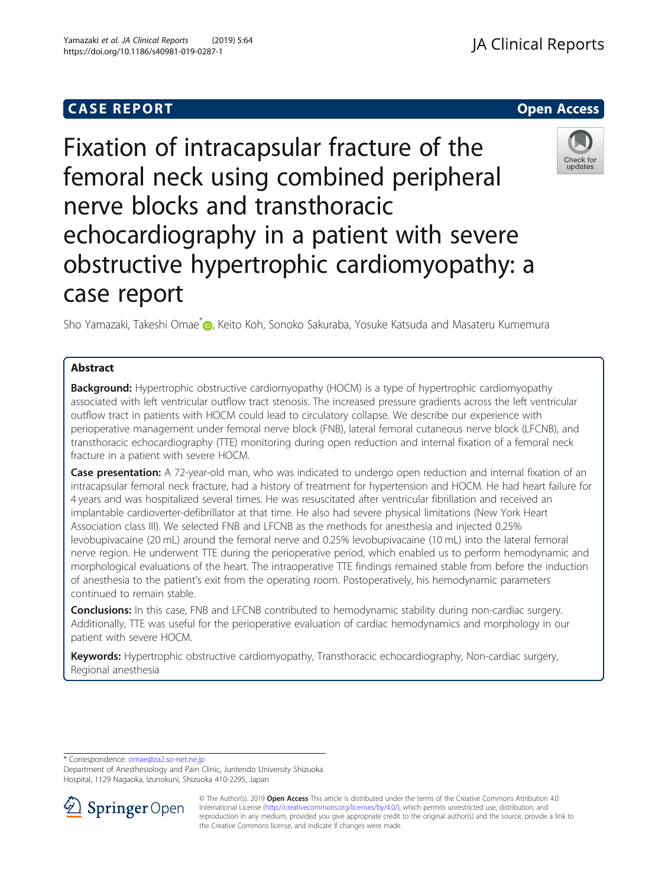# **CASE REPORT CASE REPORT CASE REPORT**

# Fixation of intracapsular fracture of the femoral neck using combined peripheral nerve blocks and transthoracic echocardiography in a patient with severe obstructive hypertrophic cardiomyopathy: a case report

Sho Yamazaki[,](http://orcid.org/0000-0001-5411-1740) Takeshi Omae<sup>\*</sup> D. Keito Koh, Sonoko Sakuraba, Yosuke Katsuda and Masateru Kumemura

# Abstract

**Background:** Hypertrophic obstructive cardiomyopathy (HOCM) is a type of hypertrophic cardiomyopathy associated with left ventricular outflow tract stenosis. The increased pressure gradients across the left ventricular outflow tract in patients with HOCM could lead to circulatory collapse. We describe our experience with perioperative management under femoral nerve block (FNB), lateral femoral cutaneous nerve block (LFCNB), and transthoracic echocardiography (TTE) monitoring during open reduction and internal fixation of a femoral neck fracture in a patient with severe HOCM.

Case presentation: A 72-year-old man, who was indicated to undergo open reduction and internal fixation of an intracapsular femoral neck fracture, had a history of treatment for hypertension and HOCM. He had heart failure for 4 years and was hospitalized several times. He was resuscitated after ventricular fibrillation and received an implantable cardioverter-defibrillator at that time. He also had severe physical limitations (New York Heart Association class III). We selected FNB and LFCNB as the methods for anesthesia and injected 0.25% levobupivacaine (20 mL) around the femoral nerve and 0.25% levobupivacaine (10 mL) into the lateral femoral nerve region. He underwent TTE during the perioperative period, which enabled us to perform hemodynamic and morphological evaluations of the heart. The intraoperative TTE findings remained stable from before the induction of anesthesia to the patient's exit from the operating room. Postoperatively, his hemodynamic parameters continued to remain stable.

**Conclusions:** In this case, FNB and LFCNB contributed to hemodynamic stability during non-cardiac surgery. Additionally, TTE was useful for the perioperative evaluation of cardiac hemodynamics and morphology in our patient with severe HOCM.

Keywords: Hypertrophic obstructive cardiomyopathy, Transthoracic echocardiography, Non-cardiac surgery, Regional anesthesia

\* Correspondence: [omae@za2.so-net.ne.jp](mailto:omae@za2.so-net.ne.jp)

Department of Anesthesiology and Pain Clinic, Juntendo University Shizuoka Hospital, 1129 Nagaoka, Izunokuni, Shizuoka 410-2295, Japan







Yamazaki et al. JA Clinical Reports (2019) 5:64 https://doi.org/10.1186/s40981-019-0287-1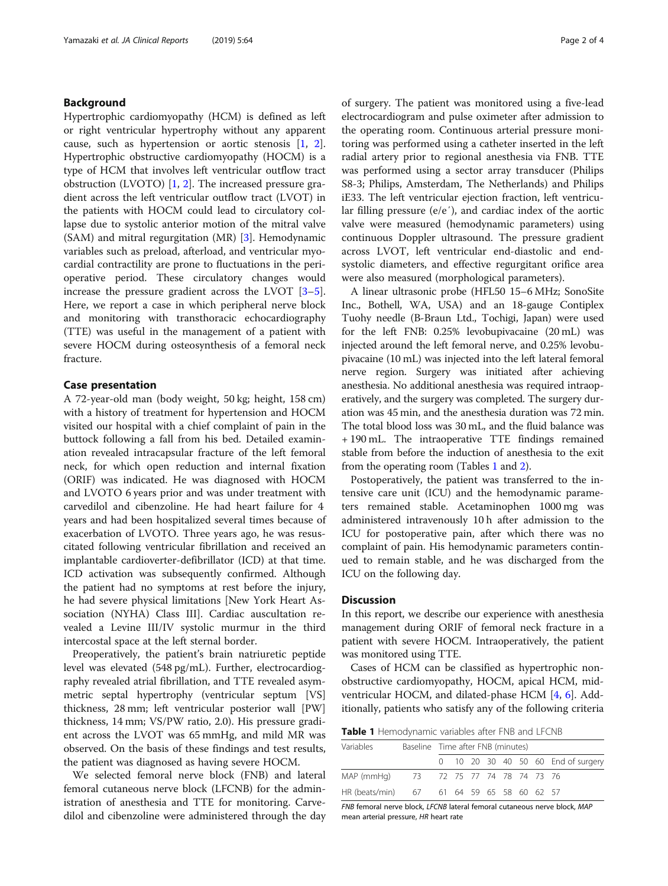# <span id="page-1-0"></span>Background

Hypertrophic cardiomyopathy (HCM) is defined as left or right ventricular hypertrophy without any apparent cause, such as hypertension or aortic stenosis [[1,](#page-3-0) [2](#page-3-0)]. Hypertrophic obstructive cardiomyopathy (HOCM) is a type of HCM that involves left ventricular outflow tract obstruction (LVOTO)  $[1, 2]$  $[1, 2]$  $[1, 2]$  $[1, 2]$ . The increased pressure gradient across the left ventricular outflow tract (LVOT) in the patients with HOCM could lead to circulatory collapse due to systolic anterior motion of the mitral valve (SAM) and mitral regurgitation (MR) [\[3](#page-3-0)]. Hemodynamic variables such as preload, afterload, and ventricular myocardial contractility are prone to fluctuations in the perioperative period. These circulatory changes would increase the pressure gradient across the LVOT [\[3](#page-3-0)–[5](#page-3-0)]. Here, we report a case in which peripheral nerve block and monitoring with transthoracic echocardiography (TTE) was useful in the management of a patient with severe HOCM during osteosynthesis of a femoral neck fracture.

#### Case presentation

A 72-year-old man (body weight, 50 kg; height, 158 cm) with a history of treatment for hypertension and HOCM visited our hospital with a chief complaint of pain in the buttock following a fall from his bed. Detailed examination revealed intracapsular fracture of the left femoral neck, for which open reduction and internal fixation (ORIF) was indicated. He was diagnosed with HOCM and LVOTO 6 years prior and was under treatment with carvedilol and cibenzoline. He had heart failure for 4 years and had been hospitalized several times because of exacerbation of LVOTO. Three years ago, he was resuscitated following ventricular fibrillation and received an implantable cardioverter-defibrillator (ICD) at that time. ICD activation was subsequently confirmed. Although the patient had no symptoms at rest before the injury, he had severe physical limitations [New York Heart Association (NYHA) Class III]. Cardiac auscultation revealed a Levine III/IV systolic murmur in the third intercostal space at the left sternal border.

Preoperatively, the patient's brain natriuretic peptide level was elevated (548 pg/mL). Further, electrocardiography revealed atrial fibrillation, and TTE revealed asymmetric septal hypertrophy (ventricular septum [VS] thickness, 28 mm; left ventricular posterior wall [PW] thickness, 14 mm; VS/PW ratio, 2.0). His pressure gradient across the LVOT was 65 mmHg, and mild MR was observed. On the basis of these findings and test results, the patient was diagnosed as having severe HOCM.

We selected femoral nerve block (FNB) and lateral femoral cutaneous nerve block (LFCNB) for the administration of anesthesia and TTE for monitoring. Carvedilol and cibenzoline were administered through the day of surgery. The patient was monitored using a five-lead electrocardiogram and pulse oximeter after admission to the operating room. Continuous arterial pressure monitoring was performed using a catheter inserted in the left radial artery prior to regional anesthesia via FNB. TTE was performed using a sector array transducer (Philips S8-3; Philips, Amsterdam, The Netherlands) and Philips iE33. The left ventricular ejection fraction, left ventricular filling pressure (e/e′), and cardiac index of the aortic valve were measured (hemodynamic parameters) using continuous Doppler ultrasound. The pressure gradient across LVOT, left ventricular end-diastolic and endsystolic diameters, and effective regurgitant orifice area were also measured (morphological parameters).

A linear ultrasonic probe (HFL50 15–6 MHz; SonoSite Inc., Bothell, WA, USA) and an 18-gauge Contiplex Tuohy needle (B-Braun Ltd., Tochigi, Japan) were used for the left FNB: 0.25% levobupivacaine (20 mL) was injected around the left femoral nerve, and 0.25% levobupivacaine (10 mL) was injected into the left lateral femoral nerve region. Surgery was initiated after achieving anesthesia. No additional anesthesia was required intraoperatively, and the surgery was completed. The surgery duration was 45 min, and the anesthesia duration was 72 min. The total blood loss was 30 mL, and the fluid balance was + 190 mL. The intraoperative TTE findings remained stable from before the induction of anesthesia to the exit from the operating room (Tables 1 and [2\)](#page-2-0).

Postoperatively, the patient was transferred to the intensive care unit (ICU) and the hemodynamic parameters remained stable. Acetaminophen 1000 mg was administered intravenously 10 h after admission to the ICU for postoperative pain, after which there was no complaint of pain. His hemodynamic parameters continued to remain stable, and he was discharged from the ICU on the following day.

# **Discussion**

In this report, we describe our experience with anesthesia management during ORIF of femoral neck fracture in a patient with severe HOCM. Intraoperatively, the patient was monitored using TTE.

Cases of HCM can be classified as hypertrophic nonobstructive cardiomyopathy, HOCM, apical HCM, midventricular HOCM, and dilated-phase HCM [[4,](#page-3-0) [6](#page-3-0)]. Additionally, patients who satisfy any of the following criteria

Table 1 Hemodynamic variables after FNB and LFCNB

| Variables                                 |                            | Baseline Time after FNB (minutes) |  |  |  |  |  |  |                                    |  |
|-------------------------------------------|----------------------------|-----------------------------------|--|--|--|--|--|--|------------------------------------|--|
|                                           |                            |                                   |  |  |  |  |  |  | 0 10 20 30 40 50 60 End of surgery |  |
| MAP (mmHg)                                | 73 72 75 77 74 78 74 73 76 |                                   |  |  |  |  |  |  |                                    |  |
| HR (beats/min) 67 61 64 59 65 58 60 62 57 |                            |                                   |  |  |  |  |  |  |                                    |  |

FNB femoral nerve block, LFCNB lateral femoral cutaneous nerve block, MAP mean arterial pressure, HR heart rate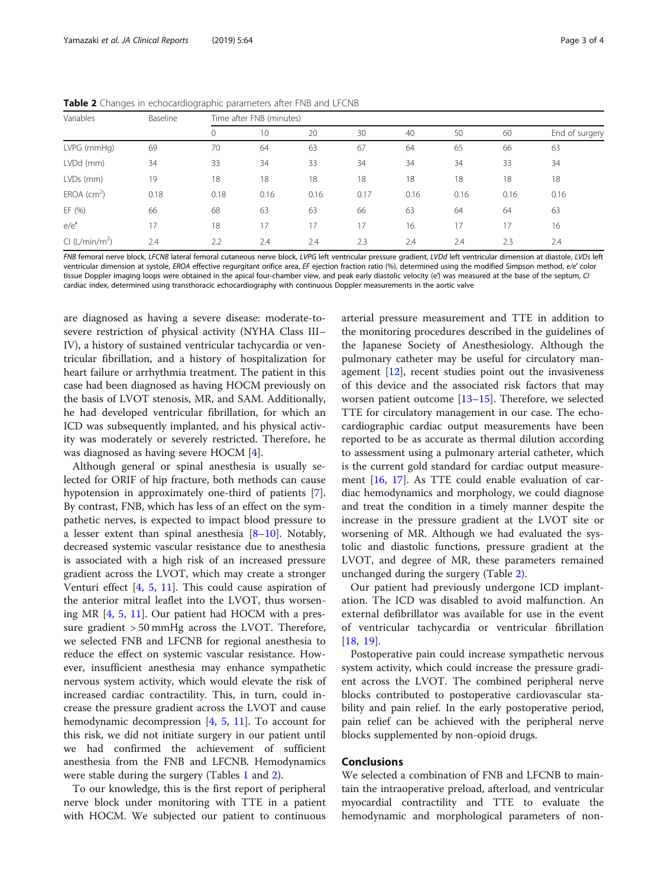<span id="page-2-0"></span>Table 2 Changes in echocardiographic parameters after FNB and LFCNB

| Variables                  | Baseline | Time after FNB (minutes) |      |      |      |      |      |      |                |  |
|----------------------------|----------|--------------------------|------|------|------|------|------|------|----------------|--|
|                            |          | 0                        | 10   | 20   | 30   | 40   | 50   | 60   | End of surgery |  |
| LVPG (mmHg)                | 69       | 70                       | 64   | 63   | 67   | 64   | 65   | 66   | 63             |  |
| LVDd (mm)                  | 34       | 33                       | 34   | 33   | 34   | 34   | 34   | 33   | 34             |  |
| LVDs (mm)                  | 19       | 18                       | 18   | 18   | 18   | 18   | 18   | 18   | 18             |  |
| $EROA$ (cm <sup>2</sup> )  | 0.18     | 0.18                     | 0.16 | 0.16 | 0.17 | 0.16 | 0.16 | 0.16 | 0.16           |  |
| EF (%)                     | 66       | 68                       | 63   | 63   | 66   | 63   | 64   | 64   | 63             |  |
| e/e'                       | 17       | 18                       | 17   | 17   | 17   | 16   |      | 17   | 16             |  |
| Cl (L/min/m <sup>2</sup> ) | 2.4      | 2.2                      | 2.4  | 2.4  | 2.3  | 2.4  | 2.4  | 2.3  | 2.4            |  |

FNB femoral nerve block, LFCNB lateral femoral cutaneous nerve block, LVPG left ventricular pressure gradient, LVDd left ventricular dimension at diastole, LVDs left ventricular dimension at systole, EROA effective requrgitant orifice area. EF ejection fraction ratio (%), determined using the modified Simpson method, e/e' color tissue Doppler imaging loops were obtained in the apical four-chamber view, and peak early diastolic velocity (e') was measured at the base of the septum, CI cardiac index, determined using transthoracic echocardiography with continuous Doppler measurements in the aortic valve

are diagnosed as having a severe disease: moderate-tosevere restriction of physical activity (NYHA Class III– IV), a history of sustained ventricular tachycardia or ventricular fibrillation, and a history of hospitalization for heart failure or arrhythmia treatment. The patient in this case had been diagnosed as having HOCM previously on the basis of LVOT stenosis, MR, and SAM. Additionally, he had developed ventricular fibrillation, for which an ICD was subsequently implanted, and his physical activity was moderately or severely restricted. Therefore, he was diagnosed as having severe HOCM [[4](#page-3-0)].

Although general or spinal anesthesia is usually selected for ORIF of hip fracture, both methods can cause hypotension in approximately one-third of patients [\[7](#page-3-0)]. By contrast, FNB, which has less of an effect on the sympathetic nerves, is expected to impact blood pressure to a lesser extent than spinal anesthesia  $[8-10]$  $[8-10]$  $[8-10]$ . Notably, decreased systemic vascular resistance due to anesthesia is associated with a high risk of an increased pressure gradient across the LVOT, which may create a stronger Venturi effect [\[4](#page-3-0), [5](#page-3-0), [11](#page-3-0)]. This could cause aspiration of the anterior mitral leaflet into the LVOT, thus worsening MR [[4,](#page-3-0) [5](#page-3-0), [11](#page-3-0)]. Our patient had HOCM with a pressure gradient > 50 mmHg across the LVOT. Therefore, we selected FNB and LFCNB for regional anesthesia to reduce the effect on systemic vascular resistance. However, insufficient anesthesia may enhance sympathetic nervous system activity, which would elevate the risk of increased cardiac contractility. This, in turn, could increase the pressure gradient across the LVOT and cause hemodynamic decompression [\[4](#page-3-0), [5](#page-3-0), [11](#page-3-0)]. To account for this risk, we did not initiate surgery in our patient until we had confirmed the achievement of sufficient anesthesia from the FNB and LFCNB. Hemodynamics were stable during the surgery (Tables [1](#page-1-0) and 2).

To our knowledge, this is the first report of peripheral nerve block under monitoring with TTE in a patient with HOCM. We subjected our patient to continuous

arterial pressure measurement and TTE in addition to the monitoring procedures described in the guidelines of the Japanese Society of Anesthesiology. Although the pulmonary catheter may be useful for circulatory management [[12\]](#page-3-0), recent studies point out the invasiveness of this device and the associated risk factors that may worsen patient outcome  $[13-15]$  $[13-15]$  $[13-15]$ . Therefore, we selected TTE for circulatory management in our case. The echocardiographic cardiac output measurements have been reported to be as accurate as thermal dilution according to assessment using a pulmonary arterial catheter, which is the current gold standard for cardiac output measurement [\[16](#page-3-0), [17](#page-3-0)]. As TTE could enable evaluation of cardiac hemodynamics and morphology, we could diagnose and treat the condition in a timely manner despite the increase in the pressure gradient at the LVOT site or worsening of MR. Although we had evaluated the systolic and diastolic functions, pressure gradient at the LVOT, and degree of MR, these parameters remained unchanged during the surgery (Table 2).

Our patient had previously undergone ICD implantation. The ICD was disabled to avoid malfunction. An external defibrillator was available for use in the event of ventricular tachycardia or ventricular fibrillation [[18,](#page-3-0) [19](#page-3-0)].

Postoperative pain could increase sympathetic nervous system activity, which could increase the pressure gradient across the LVOT. The combined peripheral nerve blocks contributed to postoperative cardiovascular stability and pain relief. In the early postoperative period, pain relief can be achieved with the peripheral nerve blocks supplemented by non-opioid drugs.

# Conclusions

We selected a combination of FNB and LFCNB to maintain the intraoperative preload, afterload, and ventricular myocardial contractility and TTE to evaluate the hemodynamic and morphological parameters of non